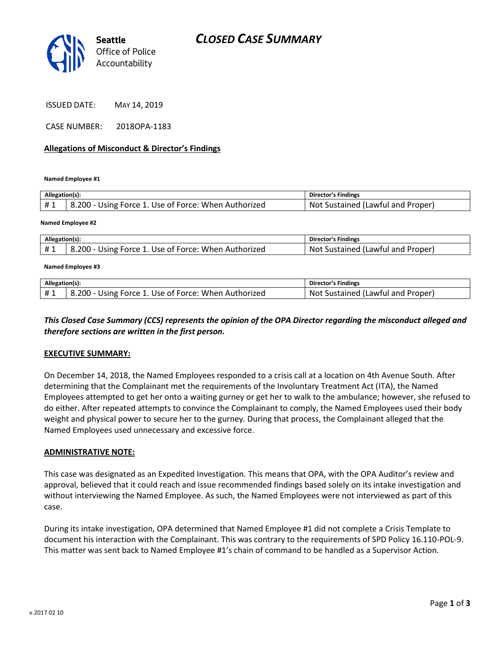

ISSUED DATE: MAY 14, 2019

CASE NUMBER: 2018OPA-1183

## **Allegations of Misconduct & Director's Findings**

**Named Employee #1**

| Allegation(s): |                                                      | Director's Findings               |
|----------------|------------------------------------------------------|-----------------------------------|
| #1             | 8.200 - Using Force 1. Use of Force: When Authorized | Not Sustained (Lawful and Proper) |
|                |                                                      |                                   |

#### **Named Employee #2**

| Allegation(s): |                                                      | Director's Findings                     |
|----------------|------------------------------------------------------|-----------------------------------------|
|                | 8.200 - Using Force 1. Use of Force: When Authorized | . Sustained (Lawful and Proper)<br>Not. |

#### **Named Employee #3**

| Allegation(s): |                                                               | ´s Findings<br>Director                       |
|----------------|---------------------------------------------------------------|-----------------------------------------------|
|                | 200<br>: When Authorized<br>Eorce<br>Use of Force: I<br>Usıne | No:<br>Proper)<br>and<br>Sustained<br>(Lawful |

# *This Closed Case Summary (CCS) represents the opinion of the OPA Director regarding the misconduct alleged and therefore sections are written in the first person.*

#### **EXECUTIVE SUMMARY:**

On December 14, 2018, the Named Employees responded to a crisis call at a location on 4th Avenue South. After determining that the Complainant met the requirements of the Involuntary Treatment Act (ITA), the Named Employees attempted to get her onto a waiting gurney or get her to walk to the ambulance; however, she refused to do either. After repeated attempts to convince the Complainant to comply, the Named Employees used their body weight and physical power to secure her to the gurney. During that process, the Complainant alleged that the Named Employees used unnecessary and excessive force.

#### **ADMINISTRATIVE NOTE:**

This case was designated as an Expedited Investigation. This means that OPA, with the OPA Auditor's review and approval, believed that it could reach and issue recommended findings based solely on its intake investigation and without interviewing the Named Employee. As such, the Named Employees were not interviewed as part of this case.

During its intake investigation, OPA determined that Named Employee #1 did not complete a Crisis Template to document his interaction with the Complainant. This was contrary to the requirements of SPD Policy 16.110-POL-9. This matter was sent back to Named Employee #1's chain of command to be handled as a Supervisor Action.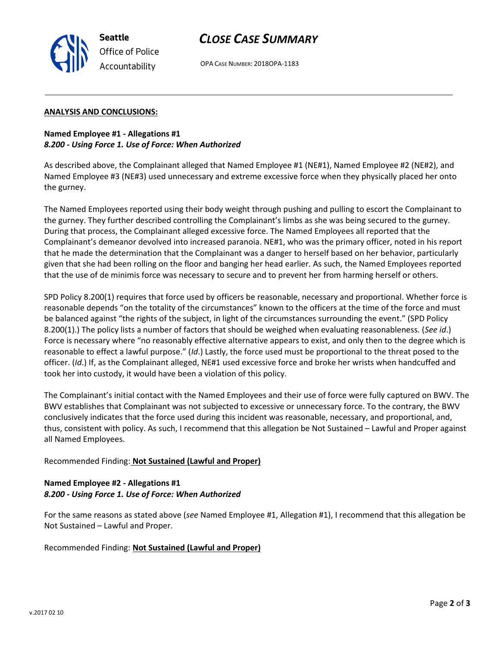

OPA CASE NUMBER: 2018OPA-1183

### **ANALYSIS AND CONCLUSIONS:**

**Seattle**

*Office of Police Accountability*

**Named Employee #1 - Allegations #1** *8.200 - Using Force 1. Use of Force: When Authorized*

As described above, the Complainant alleged that Named Employee #1 (NE#1), Named Employee #2 (NE#2), and Named Employee #3 (NE#3) used unnecessary and extreme excessive force when they physically placed her onto the gurney.

The Named Employees reported using their body weight through pushing and pulling to escort the Complainant to the gurney. They further described controlling the Complainant's limbs as she was being secured to the gurney. During that process, the Complainant alleged excessive force. The Named Employees all reported that the Complainant's demeanor devolved into increased paranoia. NE#1, who was the primary officer, noted in his report that he made the determination that the Complainant was a danger to herself based on her behavior, particularly given that she had been rolling on the floor and banging her head earlier. As such, the Named Employees reported that the use of de minimis force was necessary to secure and to prevent her from harming herself or others.

SPD Policy 8.200(1) requires that force used by officers be reasonable, necessary and proportional. Whether force is reasonable depends "on the totality of the circumstances" known to the officers at the time of the force and must be balanced against "the rights of the subject, in light of the circumstances surrounding the event." (SPD Policy 8.200(1).) The policy lists a number of factors that should be weighed when evaluating reasonableness. (*See id*.) Force is necessary where "no reasonably effective alternative appears to exist, and only then to the degree which is reasonable to effect a lawful purpose." (*Id*.) Lastly, the force used must be proportional to the threat posed to the officer. (*Id*.) If, as the Complainant alleged, NE#1 used excessive force and broke her wrists when handcuffed and took her into custody, it would have been a violation of this policy.

The Complainant's initial contact with the Named Employees and their use of force were fully captured on BWV. The BWV establishes that Complainant was not subjected to excessive or unnecessary force. To the contrary, the BWV conclusively indicates that the force used during this incident was reasonable, necessary, and proportional, and, thus, consistent with policy. As such, I recommend that this allegation be Not Sustained – Lawful and Proper against all Named Employees.

# Recommended Finding: **Not Sustained (Lawful and Proper)**

# **Named Employee #2 - Allegations #1** *8.200 - Using Force 1. Use of Force: When Authorized*

For the same reasons as stated above (*see* Named Employee #1, Allegation #1), I recommend that this allegation be Not Sustained – Lawful and Proper.

Recommended Finding: **Not Sustained (Lawful and Proper)**